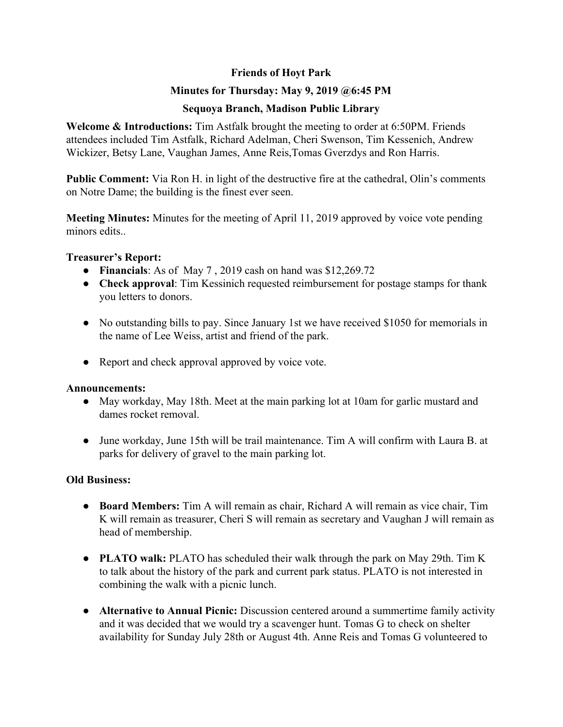## **Friends of Hoyt Park**

## **Minutes for Thursday: May 9, 2019 @6:45 PM**

## **Sequoya Branch, Madison Public Library**

**Welcome & Introductions:** Tim Astfalk brought the meeting to order at 6:50PM. Friends attendees included Tim Astfalk, Richard Adelman, Cheri Swenson, Tim Kessenich, Andrew Wickizer, Betsy Lane, Vaughan James, Anne Reis,Tomas Gverzdys and Ron Harris.

**Public Comment:** Via Ron H. in light of the destructive fire at the cathedral, Olin's comments on Notre Dame; the building is the finest ever seen.

**Meeting Minutes:** Minutes for the meeting of April 11, 2019 approved by voice vote pending minors edits.

### **Treasurer's Report:**

- **Financials**: As of May 7 , 2019 cash on hand was \$12,269.72
- **Check approval**: Tim Kessinich requested reimbursement for postage stamps for thank you letters to donors.
- No outstanding bills to pay. Since January 1st we have received \$1050 for memorials in the name of Lee Weiss, artist and friend of the park.
- Report and check approval approved by voice vote.

### **Announcements:**

- May workday, May 18th. Meet at the main parking lot at 10am for garlic mustard and dames rocket removal.
- June workday, June 15th will be trail maintenance. Tim A will confirm with Laura B. at parks for delivery of gravel to the main parking lot.

# **Old Business:**

- **● Board Members:** Tim A will remain as chair, Richard A will remain as vice chair, Tim K will remain as treasurer, Cheri S will remain as secretary and Vaughan J will remain as head of membership.
- **● PLATO walk:** PLATO has scheduled their walk through the park on May 29th. Tim K to talk about the history of the park and current park status. PLATO is not interested in combining the walk with a picnic lunch.
- **● Alternative to Annual Picnic:** Discussion centered around a summertime family activity and it was decided that we would try a scavenger hunt. Tomas G to check on shelter availability for Sunday July 28th or August 4th. Anne Reis and Tomas G volunteered to